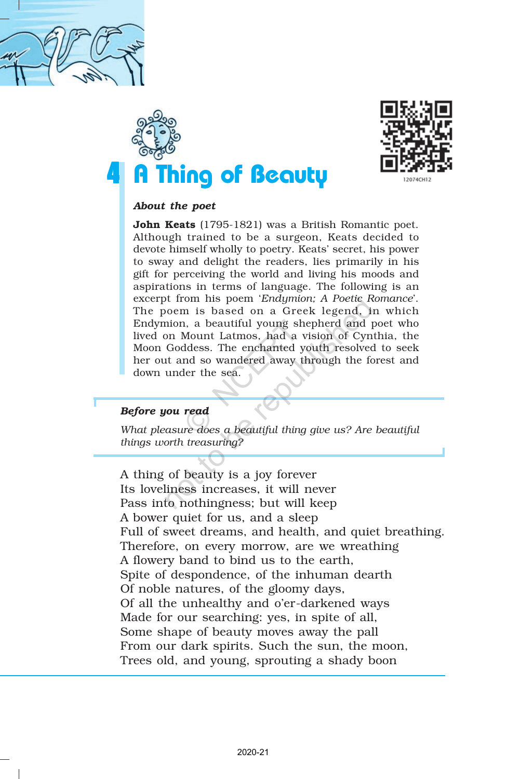





## *About the poet*

John Keats (1795-1821) was a British Romantic poet. Although trained to be a surgeon, Keats decided to devote himself wholly to poetry. Keats' secret, his power to sway and delight the readers, lies primarily in his gift for perceiving the world and living his moods and aspirations in terms of language. The following is an excerpt from his poem '*Endymion; A Poetic Romance*'. The poem is based on a Greek legend, in which Endymion, a beautiful young shepherd and poet who lived on Mount Latmos, had a vision of Cynthia, the Moon Goddess. The enchanted youth resolved to seek her out and so wandered away through the forest and down under the sea. It from his poem '*Endymon*; *A Poetic R*<br>
Moem is based on a Greek legend, if<br>
mion, a beautiful young shepherd and p<br>
on Mount Latmos, had a vision of Cyn<br>
Goddess. The enchanted youth resolved<br>
at and so wandered away t

## *Before you read*

*What pleasure does a beautiful thing give us? Are beautiful things worth treasuring?*

A thing of beauty is a joy forever Its loveliness increases, it will never Pass into nothingness; but will keep A bower quiet for us, and a sleep Full of sweet dreams, and health, and quiet breathing. Therefore, on every morrow, are we wreathing A flowery band to bind us to the earth, Spite of despondence, of the inhuman dearth Of noble natures, of the gloomy days, Of all the unhealthy and o'er-darkened ways Made for our searching: yes, in spite of all, Some shape of beauty moves away the pall From our dark spirits. Such the sun, the moon, Trees old, and young, sprouting a shady boon I, a beautiful young sh<br>Mount Latmos, had a v<br>Mount Latmos, had a v<br>ddess. The enchanted y<br>md so wandered away tl<br>ler the sea.<br>**read**<br>re does a beautiful thing<br>treasuring?<br>beauty is a joy forevers<br>s increases, it will n<br>in